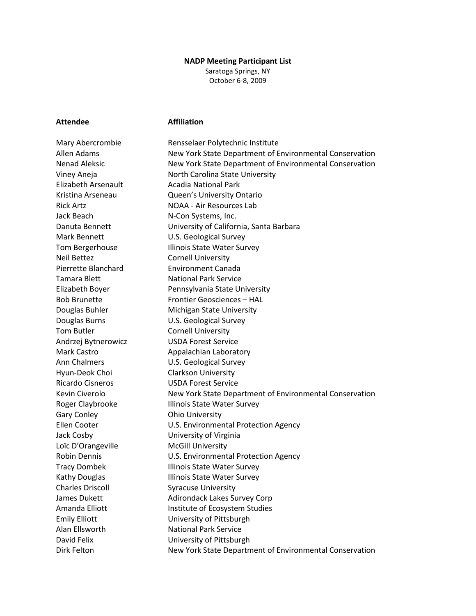## **NADP Meeting Participant List**

Saratoga Springs, NY October 6-8, 2009

## **Attendee Affiliation**

Mary Abercrombie Rensselaer Polytechnic Institute Allen Adams New York State Department of Environmental Conservation Nenad Aleksic New York State Department of Environmental Conservation Viney Aneja North Carolina State University Elizabeth Arsenault **Acadia National Park** Kristina Arseneau Queen's University Ontario Rick Artz **NOAA - Air Resources Lab** Jack Beach N-Con Systems, Inc. Danuta Bennett University of California, Santa Barbara Mark Bennett U.S. Geological Survey Tom Bergerhouse **Illinois State Water Survey** Neil Bettez Cornell University Pierrette Blanchard Environment Canada Tamara Blett National Park Service Elizabeth Boyer Pennsylvania State University Bob Brunette Frontier Geosciences – HAL Douglas Buhler Michigan State University Douglas Burns U.S. Geological Survey Tom Butler **Cornell University** Andrzej Bytnerowicz USDA Forest Service Mark Castro **Appalachian Laboratory** Ann Chalmers U.S. Geological Survey Hyun-Deok Choi Clarkson University Ricardo Cisneros USDA Forest Service Kevin Civerolo **New York State Department of Environmental Conservation** Roger Claybrooke Illinois State Water Survey Gary Conley **Cary Conley Cary Conley Consumersity** Ellen Cooter U.S. Environmental Protection Agency Jack Cosby University of Virginia Loïc D'Orangeville McGill University Robin Dennis U.S. Environmental Protection Agency Tracy Dombek Illinois State Water Survey Kathy Douglas **Illinois State Water Survey** Charles Driscoll Syracuse University James Dukett **Adirondack Lakes Survey Corp** Amanda Elliott Institute of Ecosystem Studies Emily Elliott University of Pittsburgh Alan Ellsworth National Park Service David Felix University of Pittsburgh Dirk Felton **New York State Department of Environmental Conservation**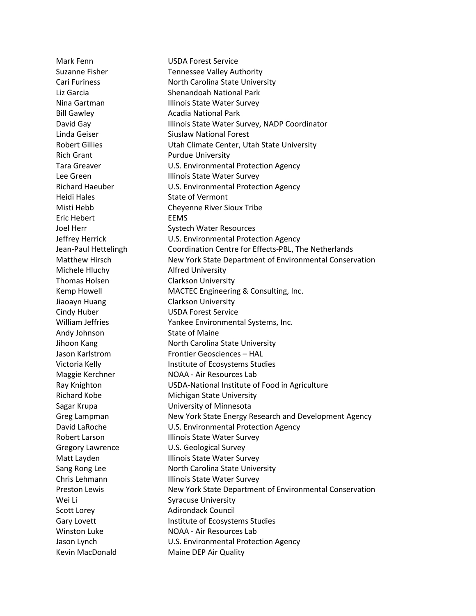Mark Fenn USDA Forest Service Suzanne Fisher Tennessee Valley Authority Cari Furiness North Carolina State University Liz Garcia Shenandoah National Park Nina Gartman **Illinois State Water Survey** Bill Gawley **Acadia National Park** David Gay **Illinois State Water Survey, NADP Coordinator** Linda Geiser **Siuslaw National Forest** Robert Gillies **Nobert Collection Climate Center, Utah State University** Rich Grant Purdue University Tara Greaver **Internal Mate and MCLS**. Environmental Protection Agency Lee Green **Illinois State Water Survey** Richard Haeuber U.S. Environmental Protection Agency Heidi Hales State of Vermont Misti Hebb Cheyenne River Sioux Tribe Eric Hebert EEMS Joel Herr Systech Water Resources Jeffrey Herrick U.S. Environmental Protection Agency Jean-Paul Hettelingh Coordination Centre for Effects-PBL, The Netherlands Matthew Hirsch New York State Department of Environmental Conservation Michele Hluchy **Alfred University** Thomas Holsen Clarkson University Kemp Howell **MACTEC Engineering & Consulting, Inc.** Jiaoayn Huang Clarkson University Cindy Huber USDA Forest Service William Jeffries The Mankee Environmental Systems, Inc. Andy Johnson State of Maine Jihoon Kang North Carolina State University Jason Karlstrom Frontier Geosciences – HAL Victoria Kelly **Institute of Ecosystems Studies** Maggie Kerchner NOAA - Air Resources Lab Ray Knighton USDA-National Institute of Food in Agriculture Richard Kobe Michigan State University Sagar Krupa University of Minnesota Greg Lampman New York State Energy Research and Development Agency David LaRoche **U.S. Environmental Protection Agency** Robert Larson **Illinois State Water Survey** Gregory Lawrence U.S. Geological Survey Matt Layden **Illinois State Water Survey** Sang Rong Lee North Carolina State University Chris Lehmann Illinois State Water Survey Preston Lewis New York State Department of Environmental Conservation Wei Li Syracuse University Scott Lorey **Adirondack Council** Gary Lovett **Institute of Ecosystems Studies** Winston Luke NOAA - Air Resources Lab Jason Lynch U.S. Environmental Protection Agency Kevin MacDonald Maine DEP Air Quality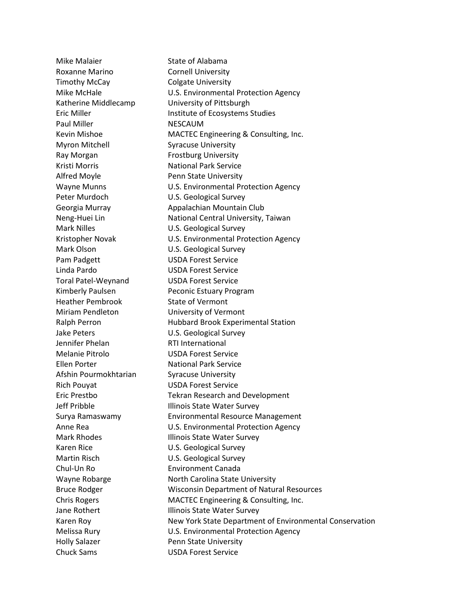Roxanne Marino **Cornell University** Timothy McCay Colgate University Paul Miller NESCAUM Myron Mitchell Syracuse University Ray Morgan Frostburg University Kristi Morris National Park Service Alfred Moyle **Penn State University** Peter Murdoch **U.S. Geological Survey** Mark Nilles **Mark Nilles** U.S. Geological Survey Mark Olson U.S. Geological Survey Pam Padgett USDA Forest Service Linda Pardo USDA Forest Service Toral Patel-Weynand USDA Forest Service Heather Pembrook State of Vermont Miriam Pendleton University of Vermont Jake Peters U.S. Geological Survey Jennifer Phelan RTI International Melanie Pitrolo USDA Forest Service Ellen Porter **National Park Service** Afshin Pourmokhtarian Syracuse University Rich Pouyat USDA Forest Service Karen Rice U.S. Geological Survey Martin Risch **U.S. Geological Survey** Chul-Un Ro Environment Canada Holly Salazer **Penn State University** Chuck Sams USDA Forest Service

Mike Malaier **State of Alabama** Mike McHale **Mike McHale** U.S. Environmental Protection Agency Katherine Middlecamp University of Pittsburgh Eric Miller **Institute of Ecosystems Studies** Kevin Mishoe MACTEC Engineering & Consulting, Inc. Wayne Munns **WAYS** U.S. Environmental Protection Agency Georgia Murray **Appalachian Mountain Club** Neng-Huei Lin National Central University, Taiwan Kristopher Novak U.S. Environmental Protection Agency Kimberly Paulsen Peconic Estuary Program Ralph Perron **Hubbard Brook Experimental Station** Eric Prestbo Tekran Research and Development Jeff Pribble **Illinois State Water Survey** Surya Ramaswamy Environmental Resource Management Anne Rea **Network** U.S. Environmental Protection Agency Mark Rhodes **Illinois State Water Survey** Wayne Robarge **North Carolina State University** Bruce Rodger Wisconsin Department of Natural Resources Chris Rogers MACTEC Engineering & Consulting, Inc. Jane Rothert **Illinois State Water Survey** Karen Roy **New York State Department of Environmental Conservation** Melissa Rury U.S. Environmental Protection Agency